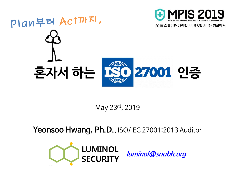

#### May 23rd, 2019

### Yeonsoo Hwang, Ph.D., ISO/IEC 27001:2013 Auditor



**[luminol@snubh.org](mailto:luminol@snubh.org)**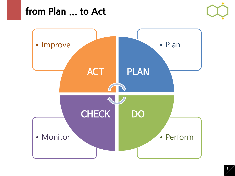### **from Plan ... to Act**



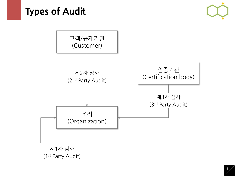## **Types of Audit**



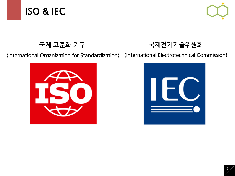



#### 국제 표준화 기구





(International Organization for Standardization) (International Electrotechnical Commission)

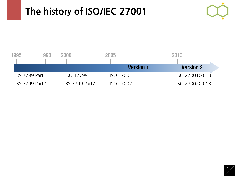# **The history of ISO/IEC 27001**



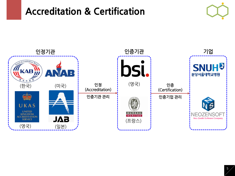## **Accreditation & Certification**



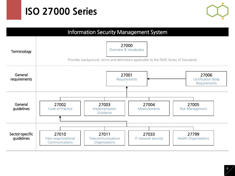### **ISO 27000 Series**